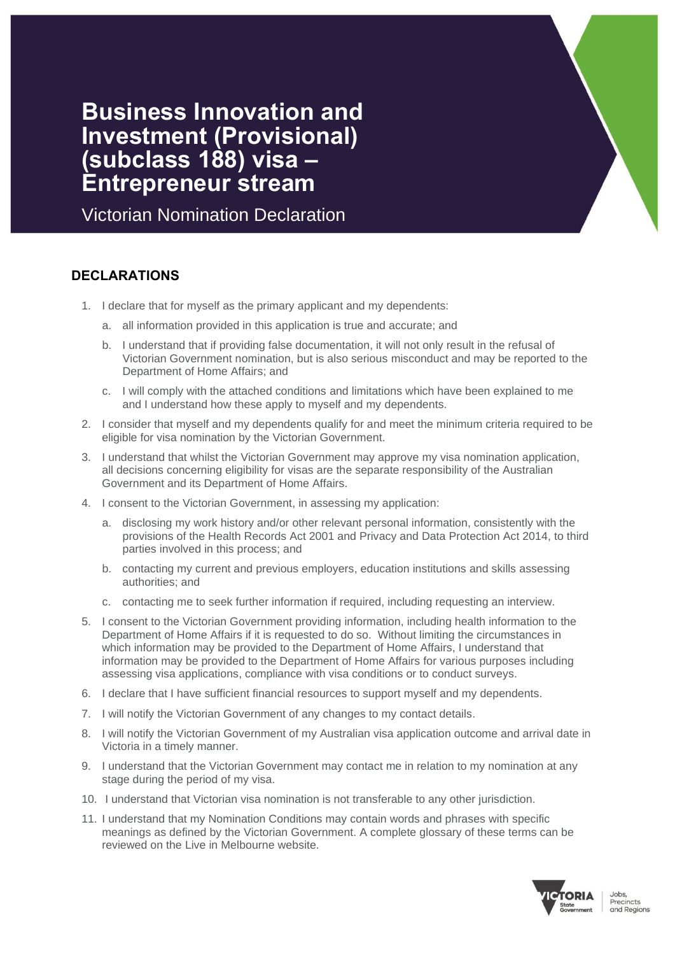# **Business Innovation and Investment (Provisional) (subclass 188) visa – Entrepreneur stream**

Victorian Nomination Declaration

## **DECLARATIONS**

- 1. I declare that for myself as the primary applicant and my dependents:
	- a. all information provided in this application is true and accurate; and
	- b. I understand that if providing false documentation, it will not only result in the refusal of Victorian Government nomination, but is also serious misconduct and may be reported to the Department of Home Affairs; and
	- c. I will comply with the attached conditions and limitations which have been explained to me and I understand how these apply to myself and my dependents.
- 2. I consider that myself and my dependents qualify for and meet the minimum criteria required to be eligible for visa nomination by the Victorian Government.
- 3. I understand that whilst the Victorian Government may approve my visa nomination application, all decisions concerning eligibility for visas are the separate responsibility of the Australian Government and its Department of Home Affairs.
- 4. I consent to the Victorian Government, in assessing my application:
	- a. disclosing my work history and/or other relevant personal information, consistently with the provisions of the Health Records Act 2001 and Privacy and Data Protection Act 2014, to third parties involved in this process; and
	- b. contacting my current and previous employers, education institutions and skills assessing authorities; and
	- c. contacting me to seek further information if required, including requesting an interview.
- 5. I consent to the Victorian Government providing information, including health information to the Department of Home Affairs if it is requested to do so. Without limiting the circumstances in which information may be provided to the Department of Home Affairs, I understand that information may be provided to the Department of Home Affairs for various purposes including assessing visa applications, compliance with visa conditions or to conduct surveys.
- 6. I declare that I have sufficient financial resources to support myself and my dependents.
- 7. I will notify the Victorian Government of any changes to my contact details.
- 8. I will notify the Victorian Government of my Australian visa application outcome and arrival date in Victoria in a timely manner.
- 9. I understand that the Victorian Government may contact me in relation to my nomination at any stage during the period of my visa.
- 10. I understand that Victorian visa nomination is not transferable to any other jurisdiction.
- 11. I understand that my Nomination Conditions may contain words and phrases with specific meanings as defined by the Victorian Government. A complete glossary of these terms can be reviewed on the Live in Melbourne website.